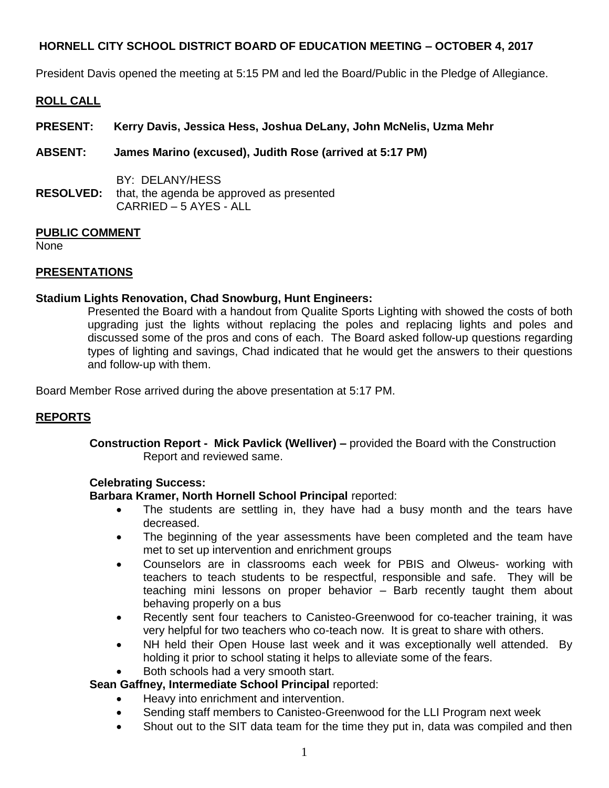President Davis opened the meeting at 5:15 PM and led the Board/Public in the Pledge of Allegiance.

# **ROLL CALL**

- **PRESENT: Kerry Davis, Jessica Hess, Joshua DeLany, John McNelis, Uzma Mehr**
- **ABSENT: James Marino (excused), Judith Rose (arrived at 5:17 PM)**
- BY: DELANY/HESS **RESOLVED:** that, the agenda be approved as presented CARRIED – 5 AYES - ALL

### **PUBLIC COMMENT**

None

### **PRESENTATIONS**

### **Stadium Lights Renovation, Chad Snowburg, Hunt Engineers:**

Presented the Board with a handout from Qualite Sports Lighting with showed the costs of both upgrading just the lights without replacing the poles and replacing lights and poles and discussed some of the pros and cons of each. The Board asked follow-up questions regarding types of lighting and savings, Chad indicated that he would get the answers to their questions and follow-up with them.

Board Member Rose arrived during the above presentation at 5:17 PM.

### **REPORTS**

**Construction Report - Mick Pavlick (Welliver) –** provided the Board with the Construction Report and reviewed same.

### **Celebrating Success:**

**Barbara Kramer, North Hornell School Principal** reported:

- The students are settling in, they have had a busy month and the tears have decreased.
- The beginning of the year assessments have been completed and the team have met to set up intervention and enrichment groups
- Counselors are in classrooms each week for PBIS and Olweus- working with teachers to teach students to be respectful, responsible and safe. They will be teaching mini lessons on proper behavior – Barb recently taught them about behaving properly on a bus
- Recently sent four teachers to Canisteo-Greenwood for co-teacher training, it was very helpful for two teachers who co-teach now. It is great to share with others.
- NH held their Open House last week and it was exceptionally well attended. By holding it prior to school stating it helps to alleviate some of the fears.
- Both schools had a very smooth start.

### **Sean Gaffney, Intermediate School Principal** reported:

- Heavy into enrichment and intervention.
- Sending staff members to Canisteo-Greenwood for the LLI Program next week
- Shout out to the SIT data team for the time they put in, data was compiled and then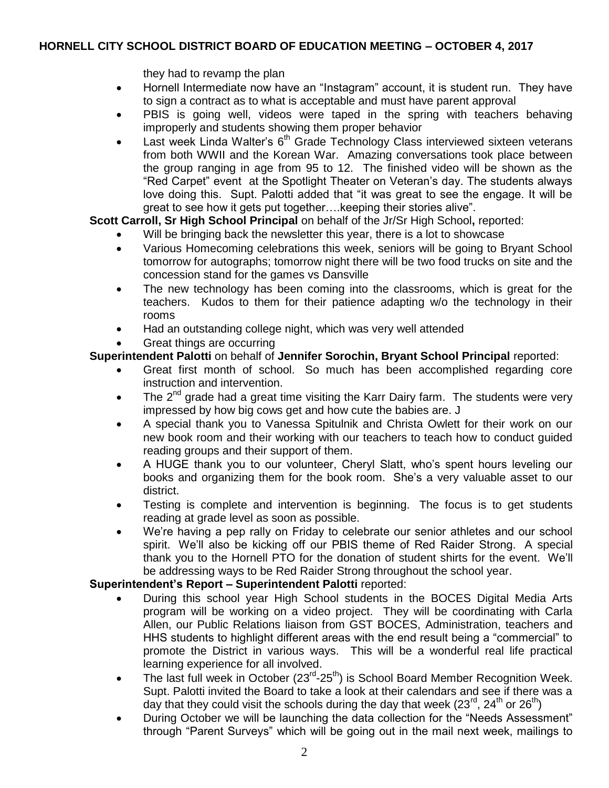they had to revamp the plan

- Hornell Intermediate now have an "Instagram" account, it is student run. They have to sign a contract as to what is acceptable and must have parent approval
- PBIS is going well, videos were taped in the spring with teachers behaving improperly and students showing them proper behavior
- Last week Linda Walter's  $6<sup>th</sup>$  Grade Technology Class interviewed sixteen veterans from both WWII and the Korean War. Amazing conversations took place between the group ranging in age from 95 to 12. The finished video will be shown as the "Red Carpet" event at the Spotlight Theater on Veteran's day. The students always love doing this. Supt. Palotti added that "it was great to see the engage. It will be great to see how it gets put together….keeping their stories alive".

**Scott Carroll, Sr High School Principal** on behalf of the Jr/Sr High School**,** reported:

- Will be bringing back the newsletter this year, there is a lot to showcase
- Various Homecoming celebrations this week, seniors will be going to Bryant School tomorrow for autographs; tomorrow night there will be two food trucks on site and the concession stand for the games vs Dansville
- The new technology has been coming into the classrooms, which is great for the teachers. Kudos to them for their patience adapting w/o the technology in their rooms
- Had an outstanding college night, which was very well attended
- Great things are occurring

# **Superintendent Palotti** on behalf of **Jennifer Sorochin, Bryant School Principal** reported:

- Great first month of school. So much has been accomplished regarding core instruction and intervention.
- The  $2^{nd}$  grade had a great time visiting the Karr Dairy farm. The students were very impressed by how big cows get and how cute the babies are. J
- A special thank you to Vanessa Spitulnik and Christa Owlett for their work on our new book room and their working with our teachers to teach how to conduct guided reading groups and their support of them.
- A HUGE thank you to our volunteer, Cheryl Slatt, who's spent hours leveling our books and organizing them for the book room. She's a very valuable asset to our district.
- Testing is complete and intervention is beginning. The focus is to get students reading at grade level as soon as possible.
- We're having a pep rally on Friday to celebrate our senior athletes and our school spirit. We'll also be kicking off our PBIS theme of Red Raider Strong. A special thank you to the Hornell PTO for the donation of student shirts for the event. We'll be addressing ways to be Red Raider Strong throughout the school year.

### **Superintendent's Report – Superintendent Palotti** reported:

- During this school year High School students in the BOCES Digital Media Arts program will be working on a video project. They will be coordinating with Carla Allen, our Public Relations liaison from GST BOCES, Administration, teachers and HHS students to highlight different areas with the end result being a "commercial" to promote the District in various ways. This will be a wonderful real life practical learning experience for all involved.
- The last full week in October  $(23^{rd}-25^{th})$  is School Board Member Recognition Week. Supt. Palotti invited the Board to take a look at their calendars and see if there was a day that they could visit the schools during the day that week (23<sup>rd</sup>, 24<sup>th</sup> or 26<sup>th</sup>)
- During October we will be launching the data collection for the "Needs Assessment" through "Parent Surveys" which will be going out in the mail next week, mailings to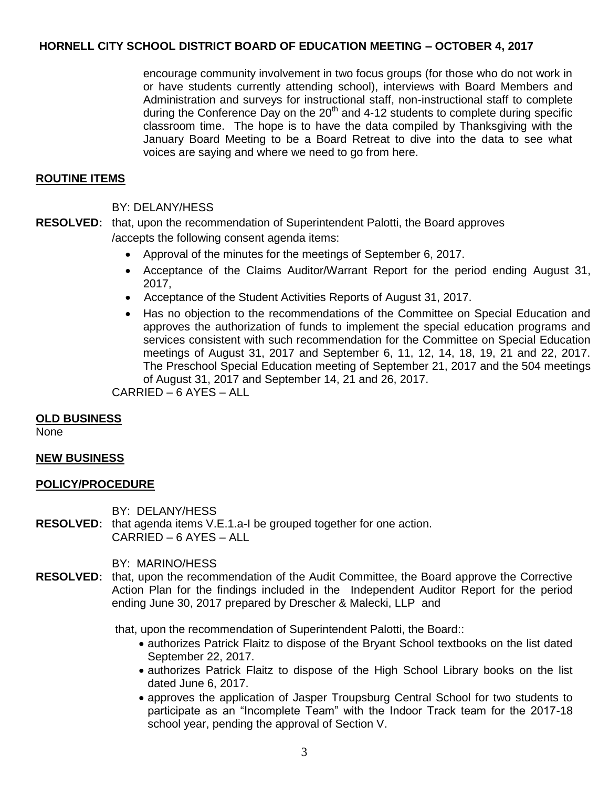encourage community involvement in two focus groups (for those who do not work in or have students currently attending school), interviews with Board Members and Administration and surveys for instructional staff, non-instructional staff to complete during the Conference Day on the  $20<sup>th</sup>$  and 4-12 students to complete during specific classroom time. The hope is to have the data compiled by Thanksgiving with the January Board Meeting to be a Board Retreat to dive into the data to see what voices are saying and where we need to go from here.

## **ROUTINE ITEMS**

### BY: DELANY/HESS

- **RESOLVED:** that, upon the recommendation of Superintendent Palotti, the Board approves /accepts the following consent agenda items:
	- Approval of the minutes for the meetings of September 6, 2017.
	- Acceptance of the Claims Auditor/Warrant Report for the period ending August 31, 2017,
	- Acceptance of the Student Activities Reports of August 31, 2017.
	- Has no objection to the recommendations of the Committee on Special Education and approves the authorization of funds to implement the special education programs and services consistent with such recommendation for the Committee on Special Education meetings of August 31, 2017 and September 6, 11, 12, 14, 18, 19, 21 and 22, 2017. The Preschool Special Education meeting of September 21, 2017 and the 504 meetings of August 31, 2017 and September 14, 21 and 26, 2017.

CARRIED – 6 AYES – ALL

### **OLD BUSINESS**

None

### **NEW BUSINESS**

### **POLICY/PROCEDURE**

BY: DELANY/HESS

**RESOLVED:** that agenda items V.E.1.a-I be grouped together for one action. CARRIED – 6 AYES – ALL

BY: MARINO/HESS

**RESOLVED:** that, upon the recommendation of the Audit Committee, the Board approve the Corrective Action Plan for the findings included in the Independent Auditor Report for the period ending June 30, 2017 prepared by Drescher & Malecki, LLP and

that, upon the recommendation of Superintendent Palotti, the Board::

- authorizes Patrick Flaitz to dispose of the Bryant School textbooks on the list dated September 22, 2017.
- authorizes Patrick Flaitz to dispose of the High School Library books on the list dated June 6, 2017.
- approves the application of Jasper Troupsburg Central School for two students to participate as an "Incomplete Team" with the Indoor Track team for the 2017-18 school year, pending the approval of Section V.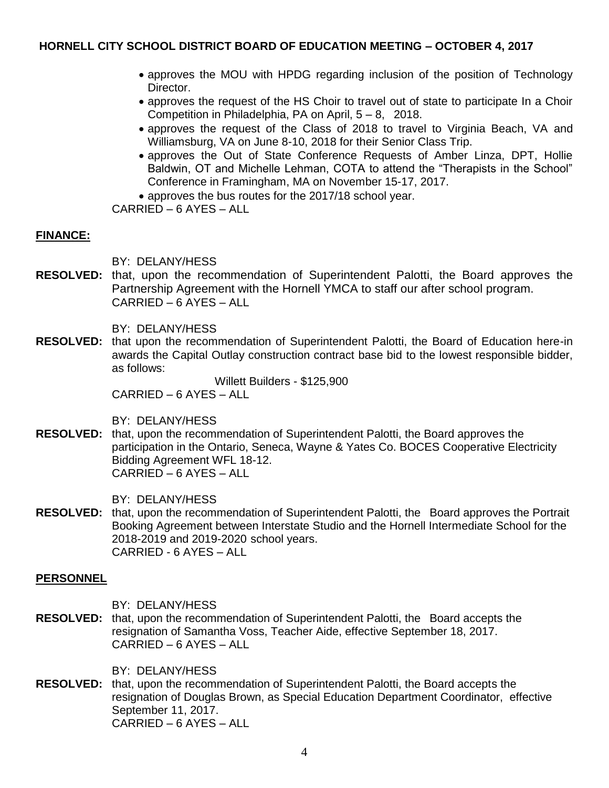- approves the MOU with HPDG regarding inclusion of the position of Technology Director.
- approves the request of the HS Choir to travel out of state to participate In a Choir Competition in Philadelphia, PA on April, 5 – 8, 2018.
- approves the request of the Class of 2018 to travel to Virginia Beach, VA and Williamsburg, VA on June 8-10, 2018 for their Senior Class Trip.
- approves the Out of State Conference Requests of Amber Linza, DPT, Hollie Baldwin, OT and Michelle Lehman, COTA to attend the "Therapists in the School" Conference in Framingham, MA on November 15-17, 2017.

approves the bus routes for the 2017/18 school year.

CARRIED – 6 AYES – ALL

### **FINANCE:**

BY: DELANY/HESS

**RESOLVED:** that, upon the recommendation of Superintendent Palotti, the Board approves the Partnership Agreement with the Hornell YMCA to staff our after school program. CARRIED – 6 AYES – ALL

BY: DELANY/HESS

**RESOLVED:** that upon the recommendation of Superintendent Palotti, the Board of Education here-in awards the Capital Outlay construction contract base bid to the lowest responsible bidder, as follows:

> Willett Builders - \$125,900 CARRIED – 6 AYES – ALL

BY: DELANY/HESS

**RESOLVED:** that, upon the recommendation of Superintendent Palotti, the Board approves the participation in the Ontario, Seneca, Wayne & Yates Co. BOCES Cooperative Electricity Bidding Agreement WFL 18-12. CARRIED – 6 AYES – ALL

BY: DELANY/HESS

**RESOLVED:** that, upon the recommendation of Superintendent Palotti, the Board approves the Portrait Booking Agreement between Interstate Studio and the Hornell Intermediate School for the 2018-2019 and 2019-2020 school years. CARRIED - 6 AYES – ALL

### **PERSONNEL**

- BY: DELANY/HESS
- **RESOLVED:** that, upon the recommendation of Superintendent Palotti, the Board accepts the resignation of Samantha Voss, Teacher Aide, effective September 18, 2017. CARRIED – 6 AYES – ALL

BY: DELANY/HESS

**RESOLVED:** that, upon the recommendation of Superintendent Palotti, the Board accepts the resignation of Douglas Brown, as Special Education Department Coordinator, effective September 11, 2017. CARRIED – 6 AYES – ALL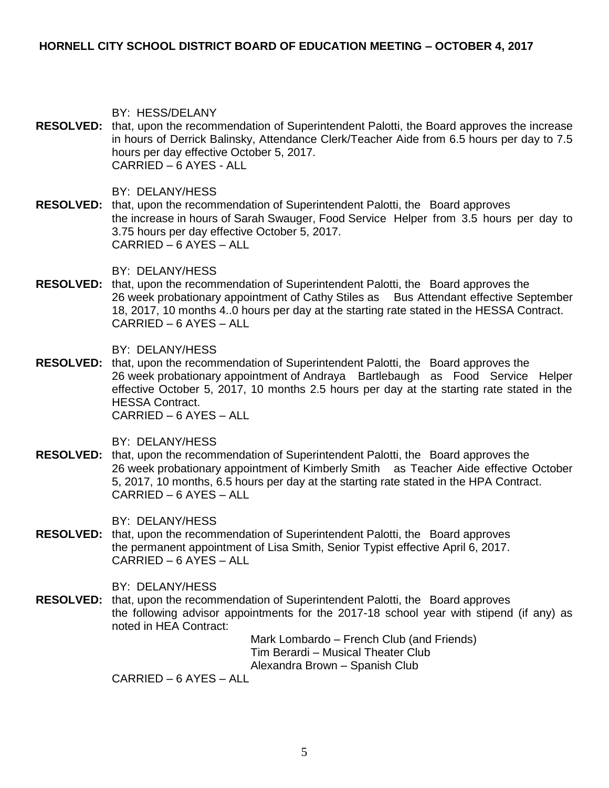BY: HESS/DELANY

**RESOLVED:** that, upon the recommendation of Superintendent Palotti, the Board approves the increase in hours of Derrick Balinsky, Attendance Clerk/Teacher Aide from 6.5 hours per day to 7.5 hours per day effective October 5, 2017. CARRIED – 6 AYES - ALL

BY: DELANY/HESS

**RESOLVED:** that, upon the recommendation of Superintendent Palotti, the Board approves the increase in hours of Sarah Swauger, Food Service Helper from 3.5 hours per day to 3.75 hours per day effective October 5, 2017. CARRIED – 6 AYES – ALL

BY: DELANY/HESS

**RESOLVED:** that, upon the recommendation of Superintendent Palotti, the Board approves the 26 week probationary appointment of Cathy Stiles as Bus Attendant effective September 18, 2017, 10 months 4..0 hours per day at the starting rate stated in the HESSA Contract. CARRIED – 6 AYES – ALL

BY: DELANY/HESS

**RESOLVED:** that, upon the recommendation of Superintendent Palotti, the Board approves the 26 week probationary appointment of Andraya Bartlebaugh as Food Service Helper effective October 5, 2017, 10 months 2.5 hours per day at the starting rate stated in the HESSA Contract. CARRIED – 6 AYES – ALL

BY: DELANY/HESS

**RESOLVED:** that, upon the recommendation of Superintendent Palotti, the Board approves the 26 week probationary appointment of Kimberly Smith as Teacher Aide effective October 5, 2017, 10 months, 6.5 hours per day at the starting rate stated in the HPA Contract. CARRIED – 6 AYES – ALL

BY: DELANY/HESS

**RESOLVED:** that, upon the recommendation of Superintendent Palotti, the Board approves the permanent appointment of Lisa Smith, Senior Typist effective April 6, 2017.  $CARR$ IED – 6 AYES – ALL

BY: DELANY/HESS

**RESOLVED:** that, upon the recommendation of Superintendent Palotti, the Board approves the following advisor appointments for the 2017-18 school year with stipend (if any) as noted in HEA Contract:

Mark Lombardo – French Club (and Friends) Tim Berardi – Musical Theater Club Alexandra Brown – Spanish Club

CARRIED – 6 AYES – ALL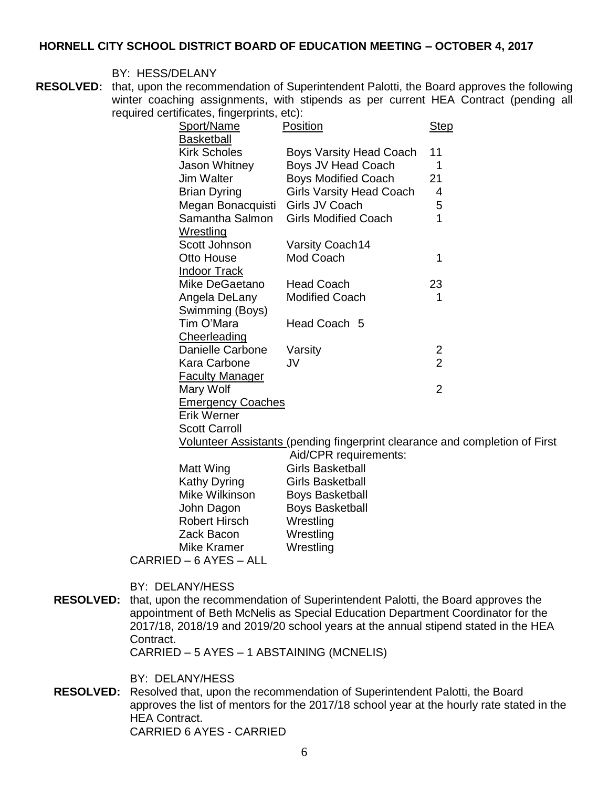#### BY: HESS/DELANY

**RESOLVED:** that, upon the recommendation of Superintendent Palotti, the Board approves the following winter coaching assignments, with stipends as per current HEA Contract (pending all required certificates, fingerprints, etc):

| Sport/Name               | Position                                                                    | <b>Step</b>    |
|--------------------------|-----------------------------------------------------------------------------|----------------|
| <b>Basketball</b>        |                                                                             |                |
| <b>Kirk Scholes</b>      | <b>Boys Varsity Head Coach</b>                                              | 11             |
| Jason Whitney            | Boys JV Head Coach                                                          | 1              |
| <b>Jim Walter</b>        | <b>Boys Modified Coach</b>                                                  | 21             |
| <b>Brian Dyring</b>      | <b>Girls Varsity Head Coach</b>                                             | 4              |
| Megan Bonacquisti        | Girls JV Coach                                                              | 5              |
| Samantha Salmon          | <b>Girls Modified Coach</b>                                                 | 1              |
| Wrestling                |                                                                             |                |
| Scott Johnson            | <b>Varsity Coach14</b>                                                      |                |
| Otto House               | Mod Coach                                                                   | 1              |
| <b>Indoor Track</b>      |                                                                             |                |
| Mike DeGaetano           | <b>Head Coach</b>                                                           | 23             |
| Angela DeLany            | <b>Modified Coach</b>                                                       | 1              |
| Swimming (Boys)          |                                                                             |                |
| Tim O'Mara               | Head Coach 5                                                                |                |
| Cheerleading             |                                                                             |                |
| Danielle Carbone         | Varsity                                                                     | 2              |
| Kara Carbone             | JV                                                                          | $\overline{2}$ |
| <b>Faculty Manager</b>   |                                                                             |                |
| Mary Wolf                |                                                                             | $\overline{2}$ |
| <b>Emergency Coaches</b> |                                                                             |                |
| Erik Werner              |                                                                             |                |
| <b>Scott Carroll</b>     |                                                                             |                |
|                          | Volunteer Assistants (pending fingerprint clearance and completion of First |                |
|                          | Aid/CPR requirements:                                                       |                |
| Matt Wing                | <b>Girls Basketball</b>                                                     |                |
| Kathy Dyring             | <b>Girls Basketball</b>                                                     |                |
| Mike Wilkinson           | <b>Boys Basketball</b>                                                      |                |
| John Dagon               | <b>Boys Basketball</b>                                                      |                |
| Robert Hirsch            | Wrestling                                                                   |                |
| Zack Bacon               | Wrestling                                                                   |                |

CARRIED – 6 AYES – ALL

- BY: DELANY/HESS
- **RESOLVED:** that, upon the recommendation of Superintendent Palotti, the Board approves the appointment of Beth McNelis as Special Education Department Coordinator for the 2017/18, 2018/19 and 2019/20 school years at the annual stipend stated in the HEA Contract.

CARRIED – 5 AYES – 1 ABSTAINING (MCNELIS)

Mike Kramer **Wrestling** 

BY: DELANY/HESS

**RESOLVED:** Resolved that, upon the recommendation of Superintendent Palotti, the Board approves the list of mentors for the 2017/18 school year at the hourly rate stated in the HEA Contract. CARRIED 6 AYES - CARRIED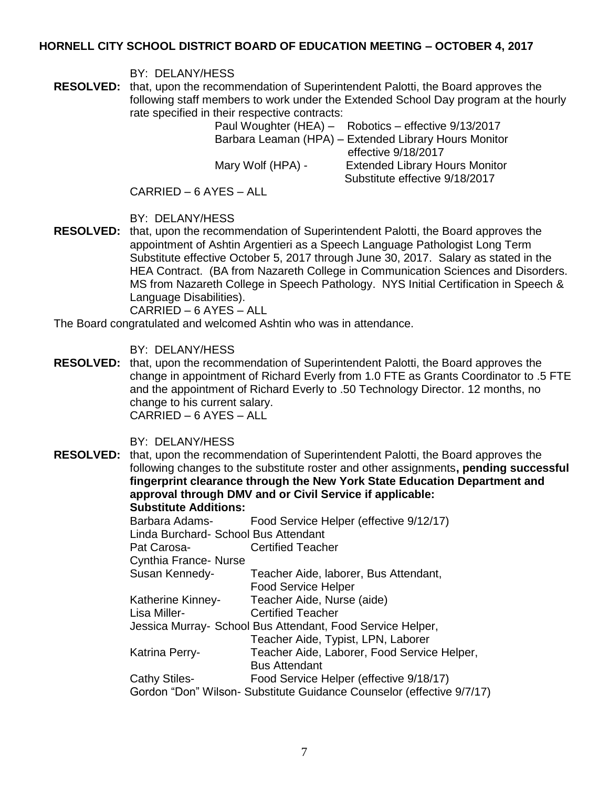BY: DELANY/HESS

**RESOLVED:** that, upon the recommendation of Superintendent Palotti, the Board approves the following staff members to work under the Extended School Day program at the hourly rate specified in their respective contracts:

Paul Woughter (HEA) – Robotics – effective 9/13/2017 Barbara Leaman (HPA) – Extended Library Hours Monitor effective 9/18/2017 Mary Wolf (HPA) - Extended Library Hours Monitor Substitute effective 9/18/2017

CARRIED – 6 AYES – ALL

BY: DELANY/HESS

**RESOLVED:** that, upon the recommendation of Superintendent Palotti, the Board approves the appointment of Ashtin Argentieri as a Speech Language Pathologist Long Term Substitute effective October 5, 2017 through June 30, 2017. Salary as stated in the HEA Contract. (BA from Nazareth College in Communication Sciences and Disorders. MS from Nazareth College in Speech Pathology. NYS Initial Certification in Speech & Language Disabilities).

CARRIED – 6 AYES – ALL

The Board congratulated and welcomed Ashtin who was in attendance.

### BY: DELANY/HESS

**RESOLVED:** that, upon the recommendation of Superintendent Palotti, the Board approves the change in appointment of Richard Everly from 1.0 FTE as Grants Coordinator to .5 FTE and the appointment of Richard Everly to .50 Technology Director. 12 months, no change to his current salary. CARRIED – 6 AYES – ALL

BY: DELANY/HESS

**RESOLVED:** that, upon the recommendation of Superintendent Palotti, the Board approves the following changes to the substitute roster and other assignments**, pending successful fingerprint clearance through the New York State Education Department and approval through DMV and or Civil Service if applicable: Substitute Additions:**  Barbara Adams- Food Service Helper (effective 9/12/17) Linda Burchard- School Bus Attendant Pat Carosa- Certified Teacher Cynthia France- Nurse Susan Kennedy- Teacher Aide, laborer, Bus Attendant, Food Service Helper Katherine Kinney- Teacher Aide, Nurse (aide) Lisa Miller- Certified Teacher Jessica Murray- School Bus Attendant, Food Service Helper, Teacher Aide, Typist, LPN, Laborer Katrina Perry- Teacher Aide, Laborer, Food Service Helper, Bus Attendant Cathy Stiles- Food Service Helper (effective 9/18/17) Gordon "Don" Wilson- Substitute Guidance Counselor (effective 9/7/17)